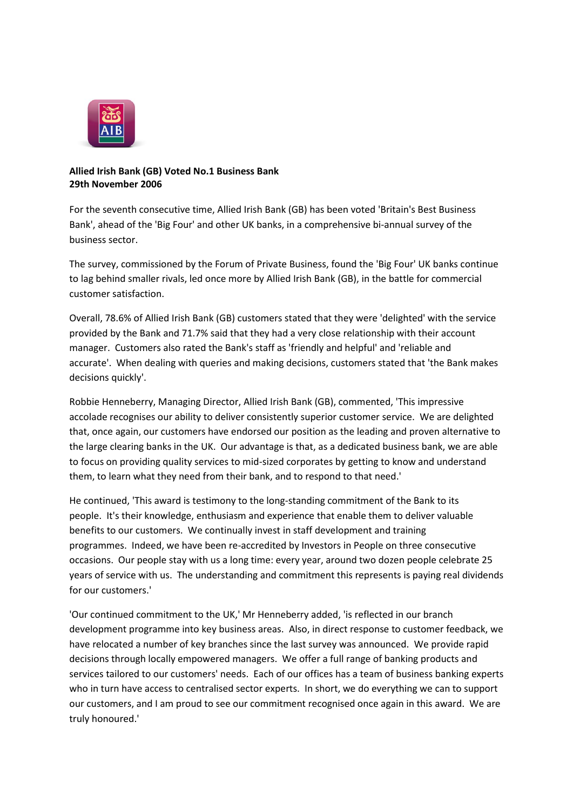

## **Allied Irish Bank (GB) Voted No.1 Business Bank 29th November 2006**

For the seventh consecutive time, Allied Irish Bank (GB) has been voted 'Britain's Best Business Bank', ahead of the 'Big Four' and other UK banks, in a comprehensive bi-annual survey of the business sector.

The survey, commissioned by the Forum of Private Business, found the 'Big Four' UK banks continue to lag behind smaller rivals, led once more by Allied Irish Bank (GB), in the battle for commercial customer satisfaction.

Overall, 78.6% of Allied Irish Bank (GB) customers stated that they were 'delighted' with the service provided by the Bank and 71.7% said that they had a very close relationship with their account manager. Customers also rated the Bank's staff as 'friendly and helpful' and 'reliable and accurate'. When dealing with queries and making decisions, customers stated that 'the Bank makes decisions quickly'.

Robbie Henneberry, Managing Director, Allied Irish Bank (GB), commented, 'This impressive accolade recognises our ability to deliver consistently superior customer service. We are delighted that, once again, our customers have endorsed our position as the leading and proven alternative to the large clearing banks in the UK. Our advantage is that, as a dedicated business bank, we are able to focus on providing quality services to mid-sized corporates by getting to know and understand them, to learn what they need from their bank, and to respond to that need.'

He continued, 'This award is testimony to the long-standing commitment of the Bank to its people. It's their knowledge, enthusiasm and experience that enable them to deliver valuable benefits to our customers. We continually invest in staff development and training programmes. Indeed, we have been re-accredited by Investors in People on three consecutive occasions. Our people stay with us a long time: every year, around two dozen people celebrate 25 years of service with us. The understanding and commitment this represents is paying real dividends for our customers.'

'Our continued commitment to the UK,' Mr Henneberry added, 'is reflected in our branch development programme into key business areas. Also, in direct response to customer feedback, we have relocated a number of key branches since the last survey was announced. We provide rapid decisions through locally empowered managers. We offer a full range of banking products and services tailored to our customers' needs. Each of our offices has a team of business banking experts who in turn have access to centralised sector experts. In short, we do everything we can to support our customers, and I am proud to see our commitment recognised once again in this award. We are truly honoured.'